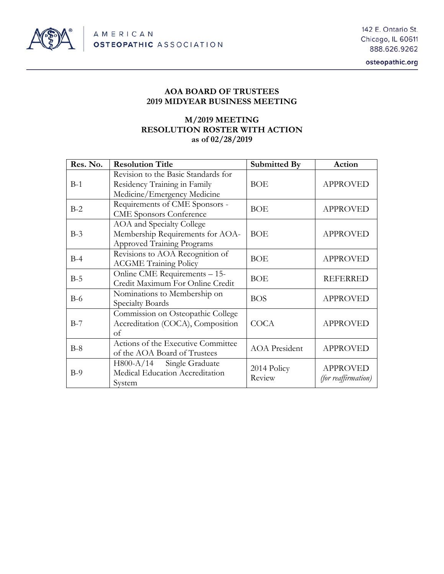

osteopathic.org

## **AOA BOARD OF TRUSTEES 2019 MIDYEAR BUSINESS MEETING**

# **M/2019 MEETING RESOLUTION ROSTER WITH ACTION as of 02/28/2019**

| Res. No. | <b>Resolution Title</b>                                                                            | Submitted By          | Action                                 |
|----------|----------------------------------------------------------------------------------------------------|-----------------------|----------------------------------------|
| $B-1$    | Revision to the Basic Standards for<br>Residency Training in Family<br>Medicine/Emergency Medicine | <b>BOE</b>            | <b>APPROVED</b>                        |
| $B-2$    | Requirements of CME Sponsors -<br><b>CME</b> Sponsors Conference                                   | <b>BOE</b>            | <b>APPROVED</b>                        |
| $B-3$    | AOA and Specialty College<br>Membership Requirements for AOA-<br><b>Approved Training Programs</b> | <b>BOE</b>            | <b>APPROVED</b>                        |
| $B-4$    | Revisions to AOA Recognition of<br><b>ACGME Training Policy</b>                                    | <b>BOE</b>            | <b>APPROVED</b>                        |
| $B-5$    | Online CME Requirements - 15-<br>Credit Maximum For Online Credit                                  | <b>BOE</b>            | <b>REFERRED</b>                        |
| $B-6$    | Nominations to Membership on<br>Specialty Boards                                                   | <b>BOS</b>            | <b>APPROVED</b>                        |
| $B-7$    | Commission on Osteopathic College<br>Accreditation (COCA), Composition<br>of                       | <b>COCA</b>           | <b>APPROVED</b>                        |
| $B-8$    | Actions of the Executive Committee<br>of the AOA Board of Trustees                                 | <b>AOA</b> President  | <b>APPROVED</b>                        |
| $B-9$    | H800-A/14 Single Graduate<br>Medical Education Accreditation<br>System                             | 2014 Policy<br>Review | <b>APPROVED</b><br>(for reaffirmation) |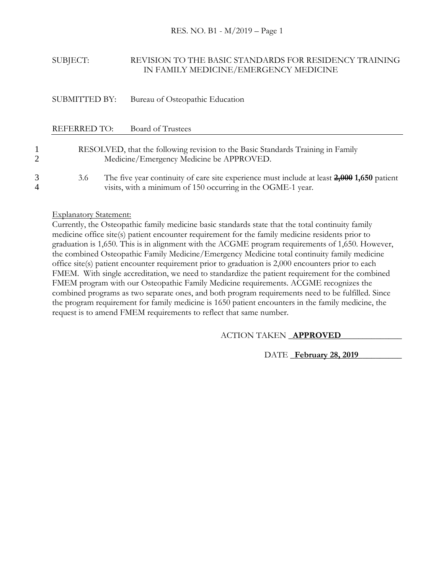## SUBJECT: REVISION TO THE BASIC STANDARDS FOR RESIDENCY TRAINING IN FAMILY MEDICINE/EMERGENCY MEDICINE

## SUBMITTED BY: Bureau of Osteopathic Education

### REFERRED TO: Board of Trustees

# 1 RESOLVED, that the following revision to the Basic Standards Training in Family 2 Medicine/Emergency Medicine be APPROVED.

3 3.6 The five year continuity of care site experience must include at least **2,000 1,650** patient 4 visits, with a minimum of 150 occurring in the OGME-1 year.

### Explanatory Statement:

Currently, the Osteopathic family medicine basic standards state that the total continuity family medicine office site(s) patient encounter requirement for the family medicine residents prior to graduation is 1,650. This is in alignment with the ACGME program requirements of 1,650. However, the combined Osteopathic Family Medicine/Emergency Medicine total continuity family medicine office site(s) patient encounter requirement prior to graduation is 2,000 encounters prior to each FMEM. With single accreditation, we need to standardize the patient requirement for the combined FMEM program with our Osteopathic Family Medicine requirements. ACGME recognizes the combined programs as two separate ones, and both program requirements need to be fulfilled. Since the program requirement for family medicine is 1650 patient encounters in the family medicine, the request is to amend FMEM requirements to reflect that same number.

## ACTION TAKEN \_**APPROVED**\_\_\_\_\_\_\_\_\_\_\_\_\_\_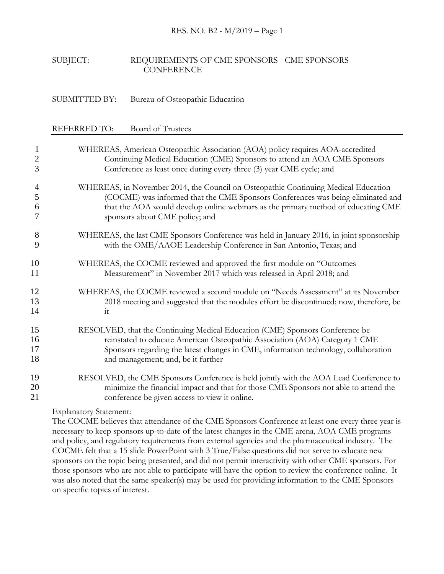#### RES. NO. B2 - M/2019 – Page 1

### SUBJECT: REQUIREMENTS OF CME SPONSORS - CME SPONSORS **CONFERENCE**

### SUBMITTED BY: Bureau of Osteopathic Education

#### REFERRED TO: Board of Trustees

| $\mathbf{1}$   | WHEREAS, American Osteopathic Association (AOA) policy requires AOA-accredited                                                                                                                                                                                                               |
|----------------|----------------------------------------------------------------------------------------------------------------------------------------------------------------------------------------------------------------------------------------------------------------------------------------------|
| $\overline{2}$ | Continuing Medical Education (CME) Sponsors to attend an AOA CME Sponsors                                                                                                                                                                                                                    |
| 3              | Conference as least once during every three (3) year CME cycle; and                                                                                                                                                                                                                          |
| 4<br>5<br>6    | WHEREAS, in November 2014, the Council on Osteopathic Continuing Medical Education<br>(COCME) was informed that the CME Sponsors Conferences was being eliminated and<br>that the AOA would develop online webinars as the primary method of educating CME<br>sponsors about CME policy; and |
| 8              | WHEREAS, the last CME Sponsors Conference was held in January 2016, in joint sponsorship                                                                                                                                                                                                     |
| 9              | with the OME/AAOE Leadership Conference in San Antonio, Texas; and                                                                                                                                                                                                                           |
| 10             | WHEREAS, the COCME reviewed and approved the first module on "Outcomes                                                                                                                                                                                                                       |
| 11             | Measurement" in November 2017 which was released in April 2018; and                                                                                                                                                                                                                          |
| 12             | WHEREAS, the COCME reviewed a second module on "Needs Assessment" at its November                                                                                                                                                                                                            |
| 13             | 2018 meeting and suggested that the modules effort be discontinued; now, therefore, be                                                                                                                                                                                                       |
| 14             | it                                                                                                                                                                                                                                                                                           |
| 15             | RESOLVED, that the Continuing Medical Education (CME) Sponsors Conference be                                                                                                                                                                                                                 |
| 16             | reinstated to educate American Osteopathic Association (AOA) Category 1 CME                                                                                                                                                                                                                  |
| 17             | Sponsors regarding the latest changes in CME, information technology, collaboration                                                                                                                                                                                                          |
| 18             | and management; and, be it further                                                                                                                                                                                                                                                           |
| 19             | RESOLVED, the CME Sponsors Conference is held jointly with the AOA Lead Conference to                                                                                                                                                                                                        |
| 20             | minimize the financial impact and that for those CME Sponsors not able to attend the                                                                                                                                                                                                         |
| 21             | conference be given access to view it online.                                                                                                                                                                                                                                                |

### Explanatory Statement:

The COCME believes that attendance of the CME Sponsors Conference at least one every three year is necessary to keep sponsors up-to-date of the latest changes in the CME arena, AOA CME programs and policy, and regulatory requirements from external agencies and the pharmaceutical industry. The COCME felt that a 15 slide PowerPoint with 3 True/False questions did not serve to educate new sponsors on the topic being presented, and did not permit interactivity with other CME sponsors. For those sponsors who are not able to participate will have the option to review the conference online. It was also noted that the same speaker(s) may be used for providing information to the CME Sponsors on specific topics of interest.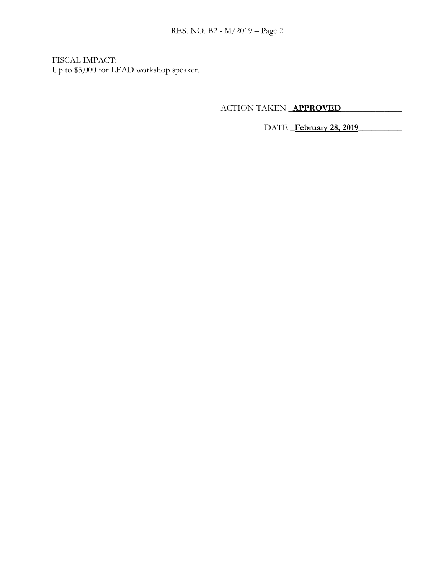FISCAL IMPACT: Up to \$5,000 for LEAD workshop speaker.

ACTION TAKEN \_**APPROVED**\_\_\_\_\_\_\_\_\_\_\_\_\_\_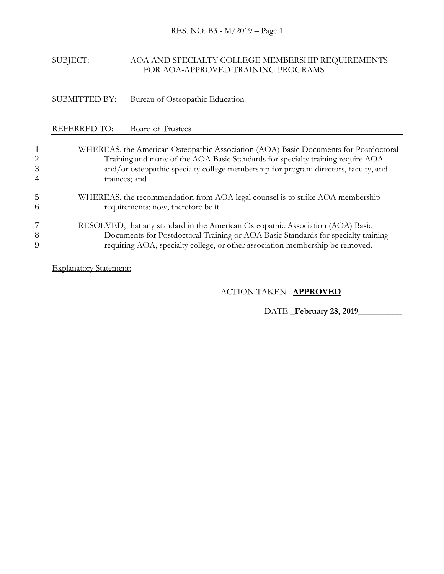## SUBJECT: AOA AND SPECIALTY COLLEGE MEMBERSHIP REQUIREMENTS FOR AOA-APPROVED TRAINING PROGRAMS

SUBMITTED BY: Bureau of Osteopathic Education

# REFERRED TO: Board of Trustees

| 2<br>3<br>4 | WHEREAS, the American Osteopathic Association (AOA) Basic Documents for Postdoctoral<br>Training and many of the AOA Basic Standards for specialty training require AOA<br>and/or osteopathic specialty college membership for program directors, faculty, and<br>trainees; and |
|-------------|---------------------------------------------------------------------------------------------------------------------------------------------------------------------------------------------------------------------------------------------------------------------------------|
| 5           | WHEREAS, the recommendation from AOA legal counsel is to strike AOA membership                                                                                                                                                                                                  |
| 6           | requirements; now, therefore be it                                                                                                                                                                                                                                              |
| 7           | RESOLVED, that any standard in the American Osteopathic Association (AOA) Basic                                                                                                                                                                                                 |
| 8           | Documents for Postdoctoral Training or AOA Basic Standards for specialty training                                                                                                                                                                                               |
| 9           | requiring AOA, specialty college, or other association membership be removed.                                                                                                                                                                                                   |

Explanatory Statement:

ACTION TAKEN \_**APPROVED**\_\_\_\_\_\_\_\_\_\_\_\_\_\_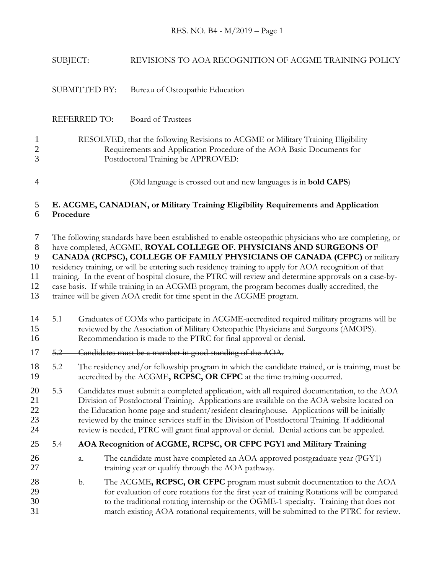|                                                  | SUBJECT:  |                     | REVISIONS TO AOA RECOGNITION OF ACGME TRAINING POLICY                                                                                                                                                                                                                                                                                                                                                                                                                                                                                                                                                                                                 |
|--------------------------------------------------|-----------|---------------------|-------------------------------------------------------------------------------------------------------------------------------------------------------------------------------------------------------------------------------------------------------------------------------------------------------------------------------------------------------------------------------------------------------------------------------------------------------------------------------------------------------------------------------------------------------------------------------------------------------------------------------------------------------|
|                                                  |           | SUBMITTED BY:       | Bureau of Osteopathic Education                                                                                                                                                                                                                                                                                                                                                                                                                                                                                                                                                                                                                       |
|                                                  |           | <b>REFERRED TO:</b> | <b>Board of Trustees</b>                                                                                                                                                                                                                                                                                                                                                                                                                                                                                                                                                                                                                              |
| $\mathbf{1}$<br>$\overline{c}$<br>3              |           |                     | RESOLVED, that the following Revisions to ACGME or Military Training Eligibility<br>Requirements and Application Procedure of the AOA Basic Documents for<br>Postdoctoral Training be APPROVED:                                                                                                                                                                                                                                                                                                                                                                                                                                                       |
| 4                                                |           |                     | (Old language is crossed out and new languages is in <b>bold CAPS</b> )                                                                                                                                                                                                                                                                                                                                                                                                                                                                                                                                                                               |
| 5<br>6                                           | Procedure |                     | E. ACGME, CANADIAN, or Military Training Eligibility Requirements and Application                                                                                                                                                                                                                                                                                                                                                                                                                                                                                                                                                                     |
| 7<br>$8\phantom{1}$<br>9<br>10<br>11<br>12<br>13 |           |                     | The following standards have been established to enable osteopathic physicians who are completing, or<br>have completed, ACGME, ROYAL COLLEGE OF. PHYSICIANS AND SURGEONS OF<br>CANADA (RCPSC), COLLEGE OF FAMILY PHYSICIANS OF CANADA (CFPC) or military<br>residency training, or will be entering such residency training to apply for AOA recognition of that<br>training. In the event of hospital closure, the PTRC will review and determine approvals on a case-by-<br>case basis. If while training in an ACGME program, the program becomes dually accredited, the<br>trainee will be given AOA credit for time spent in the ACGME program. |
| 14<br>15<br>16                                   | 5.1       |                     | Graduates of COMs who participate in ACGME-accredited required military programs will be<br>reviewed by the Association of Military Osteopathic Physicians and Surgeons (AMOPS).<br>Recommendation is made to the PTRC for final approval or denial.                                                                                                                                                                                                                                                                                                                                                                                                  |
| 17                                               | $5.2 -$   |                     | Candidates must be a member in good standing of the AOA.                                                                                                                                                                                                                                                                                                                                                                                                                                                                                                                                                                                              |
| 18<br>19                                         | 5.2       |                     | The residency and/or fellowship program in which the candidate trained, or is training, must be<br>accredited by the ACGME, RCPSC, OR CFPC at the time training occurred.                                                                                                                                                                                                                                                                                                                                                                                                                                                                             |
| 20<br>21<br>22<br>23<br>24                       | 5.3       |                     | Candidates must submit a completed application, with all required documentation, to the AOA<br>Division of Postdoctoral Training. Applications are available on the AOA website located on<br>the Education home page and student/resident clearinghouse. Applications will be initially<br>reviewed by the trainee services staff in the Division of Postdoctoral Training. If additional<br>review is needed, PTRC will grant final approval or denial. Denial actions can be appealed.                                                                                                                                                             |
| 25                                               | 5.4       |                     | AOA Recognition of ACGME, RCPSC, OR CFPC PGY1 and Military Training                                                                                                                                                                                                                                                                                                                                                                                                                                                                                                                                                                                   |
| 26<br>27                                         |           | a.                  | The candidate must have completed an AOA-approved postgraduate year (PGY1)<br>training year or qualify through the AOA pathway.                                                                                                                                                                                                                                                                                                                                                                                                                                                                                                                       |
| 28<br>29<br>30<br>31                             |           | $\mathbf{b}$ .      | The ACGME, RCPSC, OR CFPC program must submit documentation to the AOA<br>for evaluation of core rotations for the first year of training Rotations will be compared<br>to the traditional rotating internship or the OGME-1 specialty. Training that does not<br>match existing AOA rotational requirements, will be submitted to the PTRC for review.                                                                                                                                                                                                                                                                                               |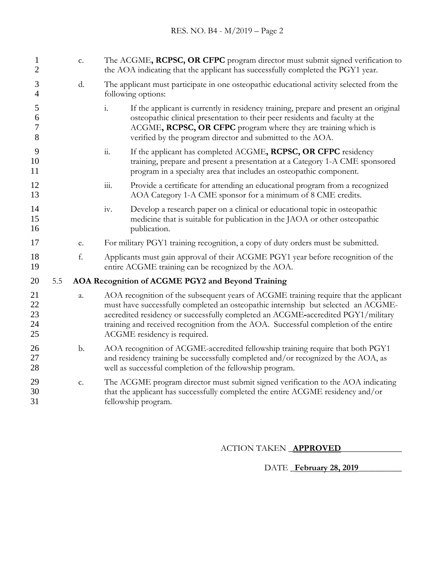| $\mathbf{1}$<br>2          |     | c. | The ACGME, RCPSC, OR CFPC program director must submit signed verification to<br>the AOA indicating that the applicant has successfully completed the PGY1 year.                                                                                                                                                                                                                     |
|----------------------------|-----|----|--------------------------------------------------------------------------------------------------------------------------------------------------------------------------------------------------------------------------------------------------------------------------------------------------------------------------------------------------------------------------------------|
| 3<br>$\overline{4}$        |     | d. | The applicant must participate in one osteopathic educational activity selected from the<br>following options:                                                                                                                                                                                                                                                                       |
| 5<br>6<br>7<br>8           |     |    | If the applicant is currently in residency training, prepare and present an original<br>$\mathbf{i}$ .<br>osteopathic clinical presentation to their peer residents and faculty at the<br>ACGME, RCPSC, OR CFPC program where they are training which is<br>verified by the program director and submitted to the AOA.                                                               |
| 9<br>10<br>11              |     |    | $\dddot{\mathbf{1}}$ .<br>If the applicant has completed ACGME, RCPSC, OR CFPC residency<br>training, prepare and present a presentation at a Category 1-A CME sponsored<br>program in a specialty area that includes an osteopathic component.                                                                                                                                      |
| 12<br>13                   |     |    | $\dddot{\mathbf{m}}$ .<br>Provide a certificate for attending an educational program from a recognized<br>AOA Category 1-A CME sponsor for a minimum of 8 CME credits.                                                                                                                                                                                                               |
| 14<br>15<br>16             |     |    | Develop a research paper on a clinical or educational topic in osteopathic<br>iv.<br>medicine that is suitable for publication in the JAOA or other osteopathic<br>publication.                                                                                                                                                                                                      |
| 17                         |     | e. | For military PGY1 training recognition, a copy of duty orders must be submitted.                                                                                                                                                                                                                                                                                                     |
| 18<br>19                   |     | f. | Applicants must gain approval of their ACGME PGY1 year before recognition of the<br>entire ACGME training can be recognized by the AOA.                                                                                                                                                                                                                                              |
| 20                         | 5.5 |    | AOA Recognition of ACGME PGY2 and Beyond Training                                                                                                                                                                                                                                                                                                                                    |
| 21<br>22<br>23<br>24<br>25 |     | a. | AOA recognition of the subsequent years of ACGME training require that the applicant<br>must have successfully completed an osteopathic internship but selected an ACGME-<br>accredited residency or successfully completed an ACGME-accredited PGY1/military<br>training and received recognition from the AOA. Successful completion of the entire<br>ACGME residency is required. |
| 26<br>27<br>28             |     | b. | AOA recognition of ACGME-accredited fellowship training require that both PGY1<br>and residency training be successfully completed and/or recognized by the AOA, as<br>well as successful completion of the fellowship program.                                                                                                                                                      |
| 29<br>30<br>31             |     | c. | The ACGME program director must submit signed verification to the AOA indicating<br>that the applicant has successfully completed the entire ACGME residency and/or<br>fellowship program.                                                                                                                                                                                           |
|                            |     |    |                                                                                                                                                                                                                                                                                                                                                                                      |

ACTION TAKEN \_**APPROVED**\_\_\_\_\_\_\_\_\_\_\_\_\_\_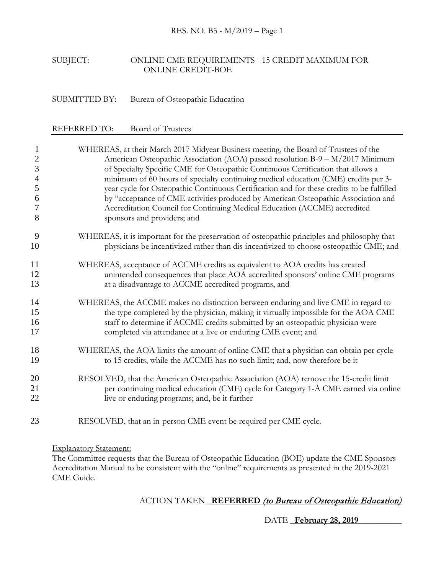## SUBJECT: ONLINE CME REQUIREMENTS - 15 CREDIT MAXIMUM FOR ONLINE CREDIT-BOE

SUBMITTED BY: Bureau of Osteopathic Education

| <b>REFERRED TO:</b> | Board of Trustees |
|---------------------|-------------------|
|                     |                   |

| $\mathbf{1}$   | WHEREAS, at their March 2017 Midyear Business meeting, the Board of Trustees of the         |
|----------------|---------------------------------------------------------------------------------------------|
| $\mathbf{2}$   | American Osteopathic Association (AOA) passed resolution B-9 - M/2017 Minimum               |
| 3              | of Specialty Specific CME for Osteopathic Continuous Certification that allows a            |
| $\overline{4}$ | minimum of 60 hours of specialty continuing medical education (CME) credits per 3-          |
| $\mathfrak{S}$ | year cycle for Osteopathic Continuous Certification and for these credits to be fulfilled   |
| 6              | by "acceptance of CME activities produced by American Osteopathic Association and           |
| 7              | Accreditation Council for Continuing Medical Education (ACCME) accredited                   |
| 8              | sponsors and providers; and                                                                 |
| 9              | WHEREAS, it is important for the preservation of osteopathic principles and philosophy that |
| 10             | physicians be incentivized rather than dis-incentivized to choose osteopathic CME; and      |
| 11             | WHEREAS, acceptance of ACCME credits as equivalent to AOA credits has created               |
| 12             | unintended consequences that place AOA accredited sponsors' online CME programs             |
| 13             | at a disadvantage to ACCME accredited programs, and                                         |
| 14             | WHEREAS, the ACCME makes no distinction between enduring and live CME in regard to          |
| 15             | the type completed by the physician, making it virtually impossible for the AOA CME         |
| 16             | staff to determine if ACCME credits submitted by an osteopathic physician were              |
| 17             | completed via attendance at a live or enduring CME event; and                               |
| 18             | WHEREAS, the AOA limits the amount of online CME that a physician can obtain per cycle      |
| 19             | to 15 credits, while the ACCME has no such limit; and, now therefore be it                  |
| 20             | RESOLVED, that the American Osteopathic Association (AOA) remove the 15-credit limit        |
| 21             | per continuing medical education (CME) cycle for Category 1-A CME earned via online         |
| 22             | live or enduring programs; and, be it further                                               |
| 23             | RESOLVED, that an in-person CME event be required per CME cycle.                            |

Explanatory Statement:

The Committee requests that the Bureau of Osteopathic Education (BOE) update the CME Sponsors Accreditation Manual to be consistent with the "online" requirements as presented in the 2019-2021 CME Guide.

# ACTION TAKEN \_**REFERRED** (to Bureau of Osteopathic Education)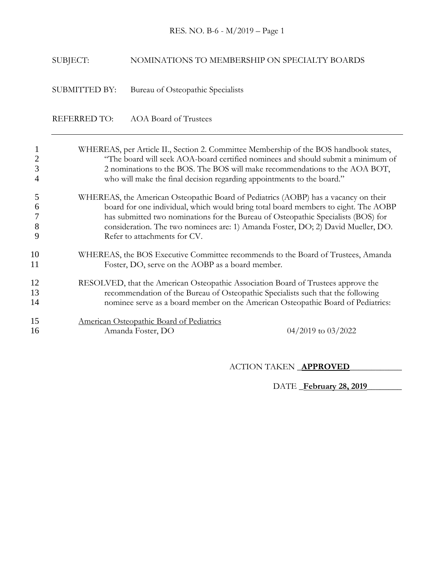# RES. NO. B-6 - M/2019 – Page 1

# SUBJECT: NOMINATIONS TO MEMBERSHIP ON SPECIALTY BOARDS

SUBMITTED BY: Bureau of Osteopathic Specialists

REFERRED TO: AOA Board of Trustees

| 3                | WHEREAS, per Article II., Section 2. Committee Membership of the BOS handbook states,<br>"The board will seek AOA-board certified nominees and should submit a minimum of<br>2 nominations to the BOS. The BOS will make recommendations to the AOA BOT,<br>who will make the final decision regarding appointments to the board."                                                 |
|------------------|------------------------------------------------------------------------------------------------------------------------------------------------------------------------------------------------------------------------------------------------------------------------------------------------------------------------------------------------------------------------------------|
| 5<br>6<br>8<br>9 | WHEREAS, the American Osteopathic Board of Pediatrics (AOBP) has a vacancy on their<br>board for one individual, which would bring total board members to eight. The AOBP<br>has submitted two nominations for the Bureau of Osteopathic Specialists (BOS) for<br>consideration. The two nominees are: 1) Amanda Foster, DO; 2) David Mueller, DO.<br>Refer to attachments for CV. |
| 10<br>11         | WHEREAS, the BOS Executive Committee recommends to the Board of Trustees, Amanda<br>Foster, DO, serve on the AOBP as a board member.                                                                                                                                                                                                                                               |
| 12<br>13<br>14   | RESOLVED, that the American Osteopathic Association Board of Trustees approve the<br>recommendation of the Bureau of Osteopathic Specialists such that the following<br>nominee serve as a board member on the American Osteopathic Board of Pediatrics:                                                                                                                           |
| 15<br>16         | American Osteopathic Board of Pediatrics<br>$04/2019$ to $03/2022$<br>Amanda Foster, DO                                                                                                                                                                                                                                                                                            |

ACTION TAKEN \_**APPROVED**\_\_\_\_\_\_\_\_\_\_\_\_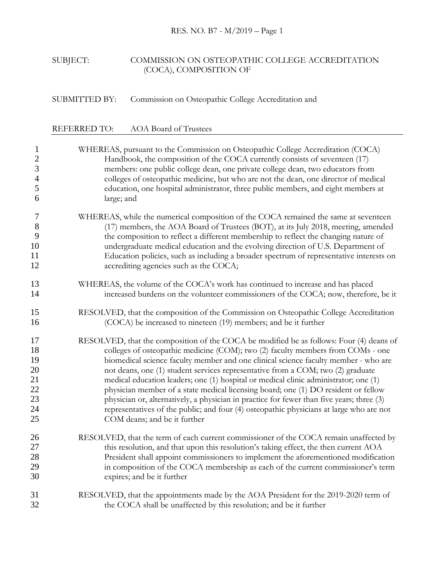# SUBJECT: COMMISSION ON OSTEOPATHIC COLLEGE ACCREDITATION (COCA), COMPOSITION OF

# SUBMITTED BY: Commission on Osteopathic College Accreditation and

# REFERRED TO: AOA Board of Trustees

| $\mathbf{1}$   | WHEREAS, pursuant to the Commission on Osteopathic College Accreditation (COCA)           |
|----------------|-------------------------------------------------------------------------------------------|
| $\sqrt{2}$     | Handbook, the composition of the COCA currently consists of seventeen (17)                |
| $\overline{3}$ | members: one public college dean, one private college dean, two educators from            |
| $\overline{4}$ | colleges of osteopathic medicine, but who are not the dean, one director of medical       |
| 5              | education, one hospital administrator, three public members, and eight members at         |
| 6              | large; and                                                                                |
| 7              | WHEREAS, while the numerical composition of the COCA remained the same at seventeen       |
| $8\,$          | (17) members, the AOA Board of Trustees (BOT), at its July 2018, meeting, amended         |
| 9              | the composition to reflect a different membership to reflect the changing nature of       |
| 10             | undergraduate medical education and the evolving direction of U.S. Department of          |
| 11             | Education policies, such as including a broader spectrum of representative interests on   |
| 12             | accrediting agencies such as the COCA;                                                    |
| 13             | WHEREAS, the volume of the COCA's work has continued to increase and has placed           |
| 14             | increased burdens on the volunteer commissioners of the COCA; now, therefore, be it       |
| 15             | RESOLVED, that the composition of the Commission on Osteopathic College Accreditation     |
| 16             | (COCA) be increased to nineteen (19) members; and be it further                           |
| 17             | RESOLVED, that the composition of the COCA be modified be as follows: Four (4) deans of   |
| 18             | colleges of osteopathic medicine (COM); two (2) faculty members from COMs - one           |
| 19             | biomedical science faculty member and one clinical science faculty member - who are       |
| 20             | not deans, one (1) student services representative from a COM; two (2) graduate           |
| 21             | medical education leaders; one (1) hospital or medical clinic administrator; one (1)      |
| 22             | physician member of a state medical licensing board; one (1) DO resident or fellow        |
| 23             | physician or, alternatively, a physician in practice for fewer than five years; three (3) |
| 24             | representatives of the public; and four (4) osteopathic physicians at large who are not   |
| 25             | COM deans; and be it further                                                              |
| 26             | RESOLVED, that the term of each current commissioner of the COCA remain unaffected by     |
| 27             | this resolution, and that upon this resolution's taking effect, the then current AOA      |
| 28             | President shall appoint commissioners to implement the aforementioned modification        |
| 29             | in composition of the COCA membership as each of the current commissioner's term          |
| 30             | expires; and be it further                                                                |
| 31             | RESOLVED, that the appointments made by the AOA President for the 2019-2020 term of       |
| 32             | the COCA shall be unaffected by this resolution; and be it further                        |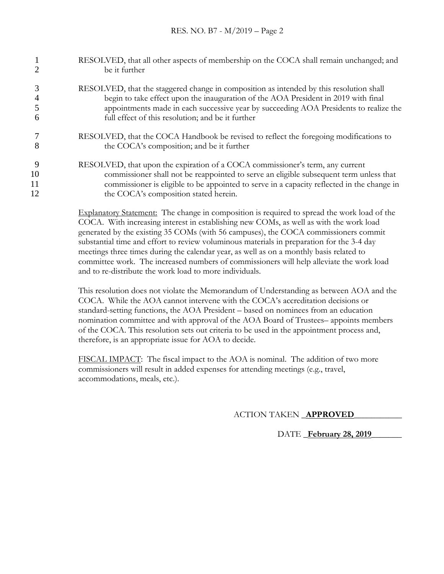|               | RESOLVED, that all other aspects of membership on the COCA shall remain unchanged; and<br>be it further                                                                                                                                                                                                                     |
|---------------|-----------------------------------------------------------------------------------------------------------------------------------------------------------------------------------------------------------------------------------------------------------------------------------------------------------------------------|
| h             | RESOLVED, that the staggered change in composition as intended by this resolution shall<br>begin to take effect upon the inauguration of the AOA President in 2019 with final<br>appointments made in each successive year by succeeding AOA Presidents to realize the<br>full effect of this resolution; and be it further |
| 8             | RESOLVED, that the COCA Handbook be revised to reflect the foregoing modifications to<br>the COCA's composition; and be it further                                                                                                                                                                                          |
| 9<br>10<br>11 | RESOLVED, that upon the expiration of a COCA commissioner's term, any current<br>commissioner shall not be reappointed to serve an eligible subsequent term unless that<br>commissioner is eligible to be appointed to serve in a capacity reflected in the change in                                                       |
| 12            | the COCA's composition stated herein.                                                                                                                                                                                                                                                                                       |

Explanatory Statement: The change in composition is required to spread the work load of the COCA. With increasing interest in establishing new COMs, as well as with the work load generated by the existing 35 COMs (with 56 campuses), the COCA commissioners commit substantial time and effort to review voluminous materials in preparation for the 3-4 day meetings three times during the calendar year, as well as on a monthly basis related to committee work. The increased numbers of commissioners will help alleviate the work load and to re-distribute the work load to more individuals.

This resolution does not violate the Memorandum of Understanding as between AOA and the COCA. While the AOA cannot intervene with the COCA's accreditation decisions or standard-setting functions, the AOA President – based on nominees from an education nomination committee and with approval of the AOA Board of Trustees– appoints members of the COCA. This resolution sets out criteria to be used in the appointment process and, therefore, is an appropriate issue for AOA to decide.

FISCAL IMPACT: The fiscal impact to the AOA is nominal. The addition of two more commissioners will result in added expenses for attending meetings (e.g., travel, accommodations, meals, etc.).

ACTION TAKEN \_**APPROVED**\_\_\_\_\_\_\_\_\_\_\_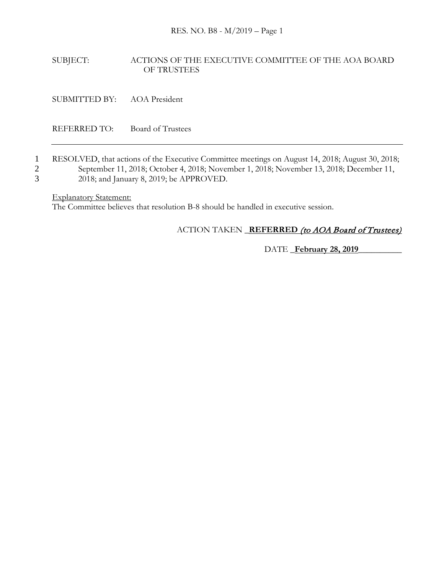## SUBJECT: ACTIONS OF THE EXECUTIVE COMMITTEE OF THE AOA BOARD OF TRUSTEES

SUBMITTED BY: AOA President

REFERRED TO: Board of Trustees

1 RESOLVED, that actions of the Executive Committee meetings on August 14, 2018; August 30, 2018; 2 September 11, 2018; October 4, 2018; November 1, 2018; November 13, 2018; December 11, 3 2018; and January 8, 2019; be APPROVED.

Explanatory Statement:

The Committee believes that resolution B-8 should be handled in executive session.

# ACTION TAKEN \_**REFERRED** (to AOA Board of Trustees)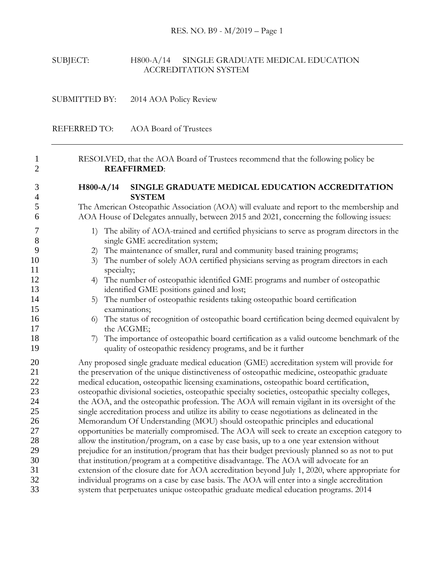## SUBJECT: H800-A/14 SINGLE GRADUATE MEDICAL EDUCATION ACCREDITATION SYSTEM

SUBMITTED BY: 2014 AOA Policy Review

REFERRED TO: AOA Board of Trustees

 RESOLVED, that the AOA Board of Trustees recommend that the following policy be **REAFFIRMED**:

## **H800-A/14 SINGLE GRADUATE MEDICAL EDUCATION ACCREDITATION SYSTEM**

 The American Osteopathic Association (AOA) will evaluate and report to the membership and AOA House of Delegates annually, between 2015 and 2021, concerning the following issues:

- 1) The ability of AOA-trained and certified physicians to serve as program directors in the 8 single GME accreditation system;
- 2) The maintenance of smaller, rural and community based training programs;
- 10 3) The number of solely AOA certified physicians serving as program directors in each 11 specialty;
- 4) The number of osteopathic identified GME programs and number of osteopathic 13 identified GME positions gained and lost;
- 5) The number of osteopathic residents taking osteopathic board certification examinations;
- 6) The status of recognition of osteopathic board certification being deemed equivalent by 17 the ACGME;
- 18 7) The importance of osteopathic board certification as a valid outcome benchmark of the quality of osteopathic residency programs, and be it further

 Any proposed single graduate medical education (GME) accreditation system will provide for the preservation of the unique distinctiveness of osteopathic medicine, osteopathic graduate medical education, osteopathic licensing examinations, osteopathic board certification, osteopathic divisional societies, osteopathic specialty societies, osteopathic specialty colleges, 24 the AOA, and the osteopathic profession. The AOA will remain vigilant in its oversight of the single accreditation process and utilize its ability to cease negotiations as delineated in the Memorandum Of Understanding (MOU) should osteopathic principles and educational opportunities be materially compromised. The AOA will seek to create an exception category to allow the institution/program, on a case by case basis, up to a one year extension without prejudice for an institution/program that has their budget previously planned so as not to put that institution/program at a competitive disadvantage. The AOA will advocate for an extension of the closure date for AOA accreditation beyond July 1, 2020, where appropriate for individual programs on a case by case basis. The AOA will enter into a single accreditation system that perpetuates unique osteopathic graduate medical education programs. 2014